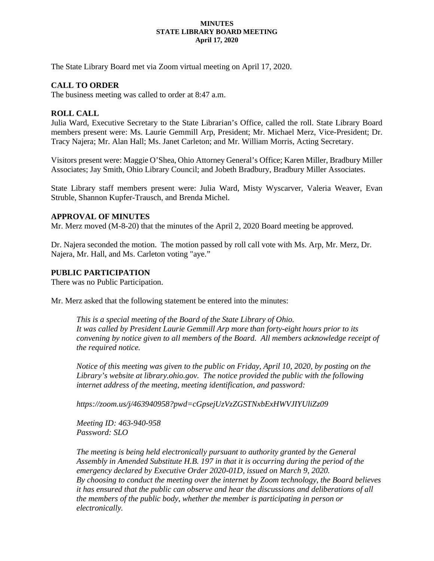#### **MINUTES STATE LIBRARY BOARD MEETING April 17, 2020**

The State Library Board met via Zoom virtual meeting on April 17, 2020.

# **CALL TO ORDER**

The business meeting was called to order at 8:47 a.m.

## **ROLL CALL**

Julia Ward, Executive Secretary to the State Librarian's Office, called the roll. State Library Board members present were: Ms. Laurie Gemmill Arp, President; Mr. Michael Merz, Vice-President; Dr. Tracy Najera; Mr. Alan Hall; Ms. Janet Carleton; and Mr. William Morris, Acting Secretary.

Visitors present were: Maggie O'Shea, Ohio Attorney General's Office; Karen Miller, Bradbury Miller Associates; Jay Smith, Ohio Library Council; and Jobeth Bradbury, Bradbury Miller Associates.

State Library staff members present were: Julia Ward, Misty Wyscarver, Valeria Weaver, Evan Struble, Shannon Kupfer-Trausch, and Brenda Michel.

#### **APPROVAL OF MINUTES**

Mr. Merz moved (M-8-20) that the minutes of the April 2, 2020 Board meeting be approved.

Dr. Najera seconded the motion. The motion passed by roll call vote with Ms. Arp, Mr. Merz, Dr. Najera, Mr. Hall, and Ms. Carleton voting "aye."

## **PUBLIC PARTICIPATION**

There was no Public Participation.

Mr. Merz asked that the following statement be entered into the minutes:

*This is a special meeting of the Board of the State Library of Ohio. It was called by President Laurie Gemmill Arp more than forty-eight hours prior to its convening by notice given to all members of the Board. All members acknowledge receipt of the required notice.*

*Notice of this meeting was given to the public on Friday, April 10, 2020, by posting on the*  Library's website at library.ohio.gov. The notice provided the public with the following *internet address of the meeting, meeting identification, and password:*

*https://zoom.us/j/463940958?pwd=cGpsejUzVzZGSTNxbExHWVJIYUliZz09*

*Meeting ID: 463-940-958 Password: SLO*

*The meeting is being held electronically pursuant to authority granted by the General Assembly in Amended Substitute H.B. 197 in that it is occurring during the period of the emergency declared by Executive Order 2020-01D, issued on March 9, 2020. By choosing to conduct the meeting over the internet by Zoom technology, the Board believes it has ensured that the public can observe and hear the discussions and deliberations of all the members of the public body, whether the member is participating in person or electronically.*